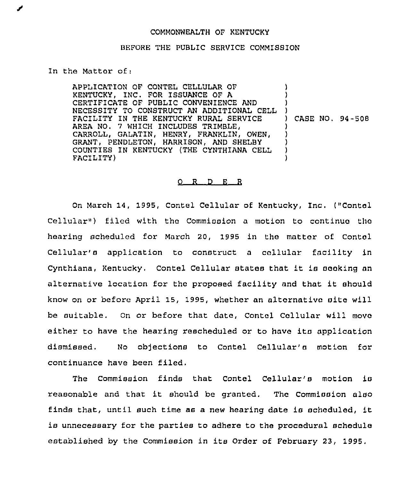## COMMONWEALTH OF KENTUCKY

## BEFORE THE PUBLIC SERVICE COMMISSION

In the Matter of:

APPLICATION OF CONTEL CELLULAR OF KENTUCKY, INC. FOR ISSUANCE QF A CERTIFICATE OF PUBLIC CONVENIENCE AND NECESSITY TO CONSTRUCT AN ADDITIONAL CELL FACILITY IN THE KENTUCKY RURAL SERVICE AREA NO. 7 WHICH INCLUDES TRIMBLE, CARROLL, GALATIN, HENRY, FRANKLIN, OWEN, GRANT, PENDLETON, HARRISON, AND SHELBY COUNTIES IN KENTUCKY (THE CYNTHIANA CELL FACILITY) ) ) ) ) ) CASE NO. 94-508 ) ) ) ) )

## 0 R <sup>D</sup> E R

On March 14, 1995, Contel Cellular of Kentucky, Inc. ("Contol Cellular") filed with the Commission a motion to continue the hearing scheduled for March 20, 1995 in the matter of Contcl Cellular'e application to construct <sup>a</sup> callular facility in Cynthiana, Kentucky, Contel Cellular states that it is seeking an alternative location for the proposed facility and that it should know on or before April 15, 1995, whether an alternative site will be suitable. On or before that date, Contal Cellular will move either to have the hearing rescheduled or to have ita application dismissed. No objections to Contel Cellular's motion for continuance have been filed.

The Commission finds that Contel Cellular's motion is reasonable and that it should be granted. The Commission also finds that, until such time as <sup>a</sup> new hearing date is scheduled, it is unnecessary for the parties to adhere to the procedural schedule established by the Commission in its Order of February 23, 1995.